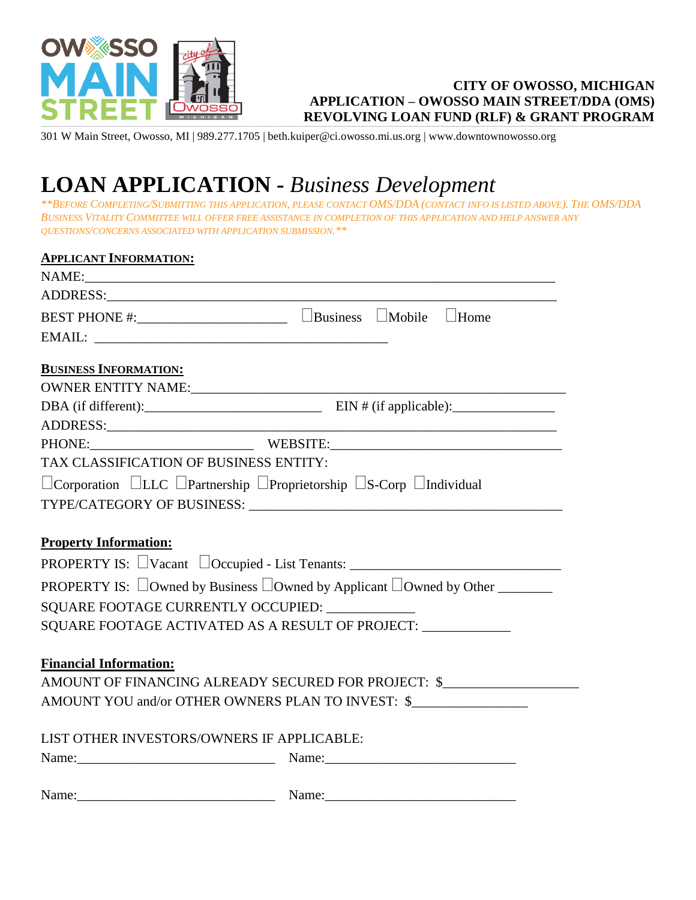

## **CITY OF OWOSSO, MICHIGAN APPLICATION – OWOSSO MAIN STREET/DDA (OMS) REVOLVING LOAN FUND (RLF) & GRANT PROGRAM**

301 W Main Street, Owosso, MI | 989.277.1705 | beth.kuiper@ci.owosso.mi.us.org | www.downtownowosso.org

## **LOAN APPLICATION -** *Business Development*

\*\*BEFORE COMPLETING/SUBMITTING THIS APPLICATION, PLEASE CONTACT OMS/DDA (CONTACT INFO IS LISTED ABOVE). THE OMS/DDA BUSINESS VITALITY COMMITTEE WILL OFFER FREE ASSISTANCE IN COMPLETION OF THIS APPLICATION AND HELP ANSWER ANY *QUESTIONS/CONCERNS ASSOCIATED WITH APPLICATION SUBMISSION.\*\**

| <b>APPLICANT INFORMATION:</b>          |                                                                                                                                                                                                                                     |
|----------------------------------------|-------------------------------------------------------------------------------------------------------------------------------------------------------------------------------------------------------------------------------------|
|                                        | NAME:                                                                                                                                                                                                                               |
|                                        | ADDRESS: ADDRESS:                                                                                                                                                                                                                   |
|                                        |                                                                                                                                                                                                                                     |
|                                        |                                                                                                                                                                                                                                     |
|                                        |                                                                                                                                                                                                                                     |
| <b>BUSINESS INFORMATION:</b>           |                                                                                                                                                                                                                                     |
|                                        |                                                                                                                                                                                                                                     |
|                                        |                                                                                                                                                                                                                                     |
|                                        |                                                                                                                                                                                                                                     |
|                                        | PHONE: WEBSITE: WEBSITE:                                                                                                                                                                                                            |
| TAX CLASSIFICATION OF BUSINESS ENTITY: |                                                                                                                                                                                                                                     |
|                                        | □ Corporation □LLC □ Partnership □ Proprietorship □ S-Corp □ Individual                                                                                                                                                             |
|                                        |                                                                                                                                                                                                                                     |
|                                        |                                                                                                                                                                                                                                     |
| <b>Property Information:</b>           |                                                                                                                                                                                                                                     |
|                                        | PROPERTY IS: $\Box$ Vacant $\Box$ Occupied - List Tenants: $\Box$                                                                                                                                                                   |
|                                        | <b>PROPERTY IS:</b> $\Box$ Owned by Business $\Box$ Owned by Applicant $\Box$ Owned by Other $\Box$                                                                                                                                 |
|                                        | SQUARE FOOTAGE CURRENTLY OCCUPIED: ____________                                                                                                                                                                                     |
|                                        | SQUARE FOOTAGE ACTIVATED AS A RESULT OF PROJECT: ____________                                                                                                                                                                       |
|                                        |                                                                                                                                                                                                                                     |
| <b>Financial Information:</b>          |                                                                                                                                                                                                                                     |
|                                        | AMOUNT OF FINANCING ALREADY SECURED FOR PROJECT: \$                                                                                                                                                                                 |
|                                        | AMOUNT YOU and/or OTHER OWNERS PLAN TO INVEST: \$                                                                                                                                                                                   |
|                                        |                                                                                                                                                                                                                                     |
|                                        | LIST OTHER INVESTORS/OWNERS IF APPLICABLE:                                                                                                                                                                                          |
|                                        | Name: <u>Name:</u> Name: Name: Name: Name: Name: Name: Name: Name: Name: Name: Name: Name: Name: Name: Name: Name: Name: Name: Name: Name: Name: Name: Name: Name: Name: Name: Name: Name: Name: Name: Name: Name: Name: Name: Name |
|                                        |                                                                                                                                                                                                                                     |
|                                        |                                                                                                                                                                                                                                     |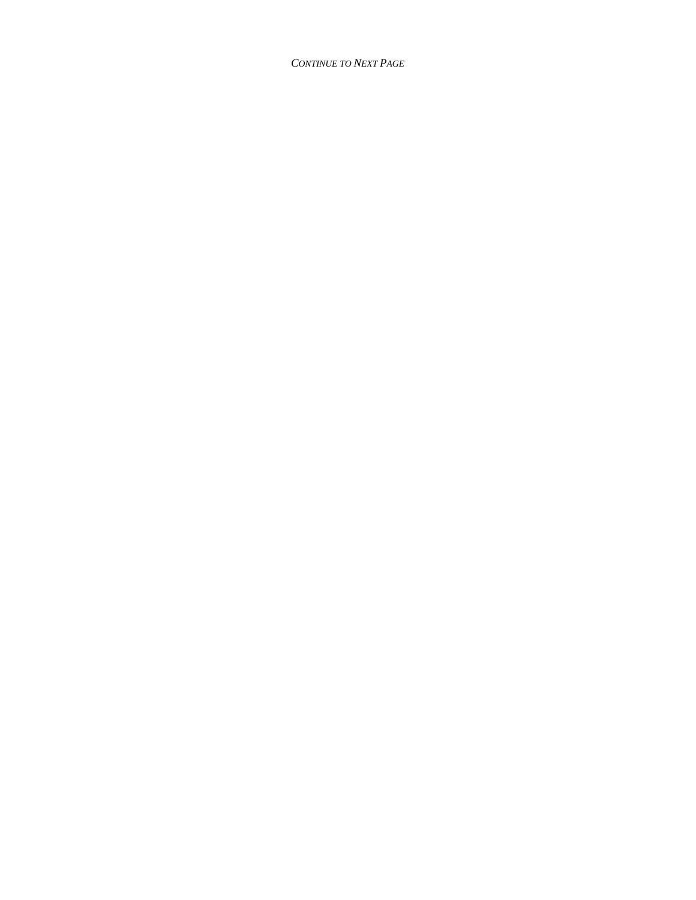**CONTINUE TO NEXT PAGE**